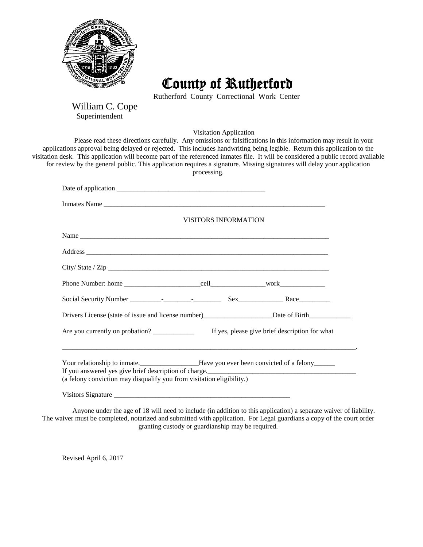

County of Rutherford

Rutherford County Correctional Work Center

William C. Cope<br>Superintendent

Visitation Application

Please read these directions carefully. Any omissions or falsifications in this information may result in your applications approval being delayed or rejected. This includes handwriting being legible. Return this application to the visitation desk. This application will become part of the referenced inmates file. It will be considered a public record available for review by the general public. This application requires a signature. Missing signatures will delay your application processing.

|                                                                       | <b>VISITORS INFORMATION</b>                                                                          |
|-----------------------------------------------------------------------|------------------------------------------------------------------------------------------------------|
|                                                                       |                                                                                                      |
|                                                                       |                                                                                                      |
|                                                                       |                                                                                                      |
|                                                                       |                                                                                                      |
|                                                                       |                                                                                                      |
|                                                                       | Drivers License (state of issue and license number)_______________________Date of Birth_____________ |
|                                                                       |                                                                                                      |
|                                                                       |                                                                                                      |
|                                                                       | If you answered yes give brief description of charge.                                                |
| (a felony conviction may disqualify you from visitation eligibility.) |                                                                                                      |
|                                                                       |                                                                                                      |
|                                                                       |                                                                                                      |

Anyone under the age of 18 will need to include (in addition to this application) a separate waiver of liability. The waiver must be completed, notarized and submitted with application. For Legal guardians a copy of the court order granting custody or guardianship may be required.

Revised April 6, 2017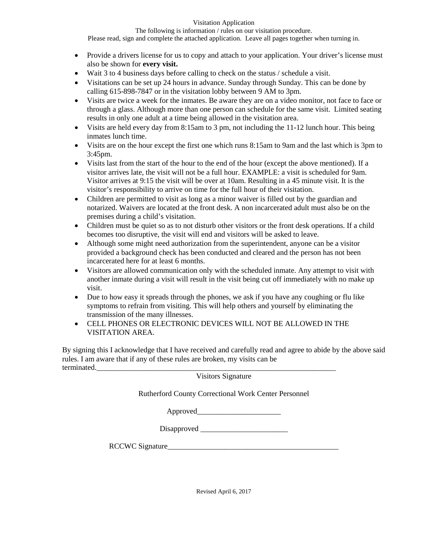## Visitation Application

The following is information / rules on our visitation procedure.

Please read, sign and complete the attached application. Leave all pages together when turning in.

- Provide a drivers license for us to copy and attach to your application. Your driver's license must also be shown for **every visit.**
- Wait 3 to 4 business days before calling to check on the status / schedule a visit.
- Visitations can be set up 24 hours in advance. Sunday through Sunday. This can be done by calling 615-898-7847 or in the visitation lobby between 9 AM to 3pm.
- Visits are twice a week for the inmates. Be aware they are on a video monitor, not face to face or through a glass. Although more than one person can schedule for the same visit. Limited seating results in only one adult at a time being allowed in the visitation area.
- Visits are held every day from 8:15am to 3 pm, not including the 11-12 lunch hour. This being inmates lunch time.
- Visits are on the hour except the first one which runs 8:15am to 9am and the last which is 3pm to 3:45pm.
- Visits last from the start of the hour to the end of the hour (except the above mentioned). If a visitor arrives late, the visit will not be a full hour. EXAMPLE: a visit is scheduled for 9am. Visitor arrives at 9:15 the visit will be over at 10am. Resulting in a 45 minute visit. It is the visitor's responsibility to arrive on time for the full hour of their visitation.
- Children are permitted to visit as long as a minor waiver is filled out by the guardian and notarized. Waivers are located at the front desk. A non incarcerated adult must also be on the premises during a child's visitation.
- Children must be quiet so as to not disturb other visitors or the front desk operations. If a child becomes too disruptive, the visit will end and visitors will be asked to leave.
- Although some might need authorization from the superintendent, anyone can be a visitor provided a background check has been conducted and cleared and the person has not been incarcerated here for at least 6 months.
- Visitors are allowed communication only with the scheduled inmate. Any attempt to visit with another inmate during a visit will result in the visit being cut off immediately with no make up visit.
- Due to how easy it spreads through the phones, we ask if you have any coughing or flu like symptoms to refrain from visiting. This will help others and yourself by eliminating the transmission of the many illnesses.
- CELL PHONES OR ELECTRONIC DEVICES WILL NOT BE ALLOWED IN THE VISITATION AREA.

By signing this I acknowledge that I have received and carefully read and agree to abide by the above said rules. I am aware that if any of these rules are broken, my visits can be terminated.

Visitors Signature

Rutherford County Correctional Work Center Personnel

Approved

Disapproved \_\_\_\_\_\_\_\_\_\_\_\_\_\_\_\_\_\_\_\_\_\_\_

RCCWC Signature

Revised April 6, 2017